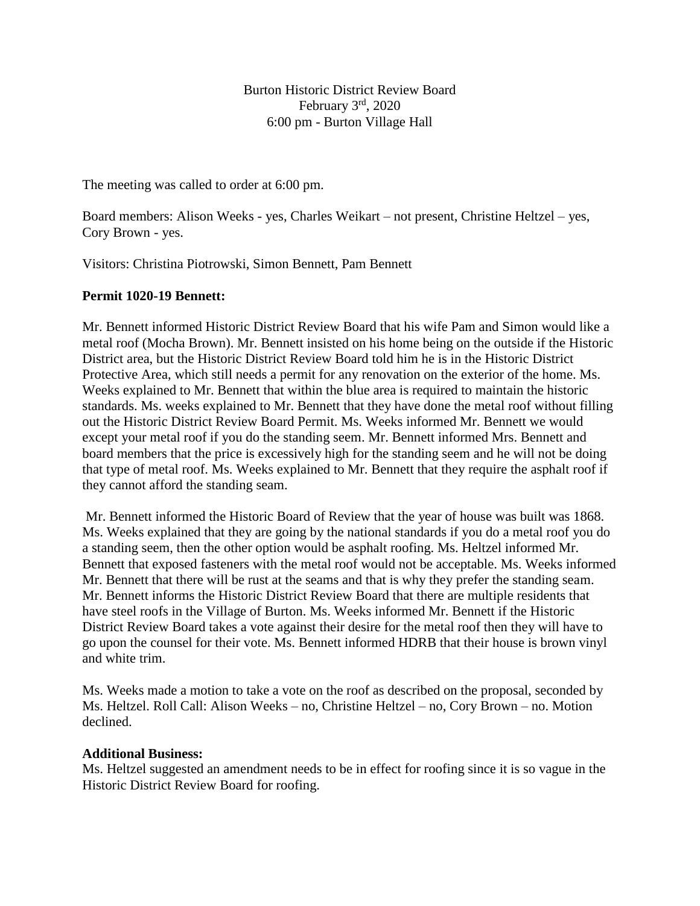Burton Historic District Review Board February  $3<sup>rd</sup>$ , 2020 6:00 pm - Burton Village Hall

The meeting was called to order at 6:00 pm.

Board members: Alison Weeks - yes, Charles Weikart – not present, Christine Heltzel – yes, Cory Brown - yes.

Visitors: Christina Piotrowski, Simon Bennett, Pam Bennett

## **Permit 1020-19 Bennett:**

Mr. Bennett informed Historic District Review Board that his wife Pam and Simon would like a metal roof (Mocha Brown). Mr. Bennett insisted on his home being on the outside if the Historic District area, but the Historic District Review Board told him he is in the Historic District Protective Area, which still needs a permit for any renovation on the exterior of the home. Ms. Weeks explained to Mr. Bennett that within the blue area is required to maintain the historic standards. Ms. weeks explained to Mr. Bennett that they have done the metal roof without filling out the Historic District Review Board Permit. Ms. Weeks informed Mr. Bennett we would except your metal roof if you do the standing seem. Mr. Bennett informed Mrs. Bennett and board members that the price is excessively high for the standing seem and he will not be doing that type of metal roof. Ms. Weeks explained to Mr. Bennett that they require the asphalt roof if they cannot afford the standing seam.

Mr. Bennett informed the Historic Board of Review that the year of house was built was 1868. Ms. Weeks explained that they are going by the national standards if you do a metal roof you do a standing seem, then the other option would be asphalt roofing. Ms. Heltzel informed Mr. Bennett that exposed fasteners with the metal roof would not be acceptable. Ms. Weeks informed Mr. Bennett that there will be rust at the seams and that is why they prefer the standing seam. Mr. Bennett informs the Historic District Review Board that there are multiple residents that have steel roofs in the Village of Burton. Ms. Weeks informed Mr. Bennett if the Historic District Review Board takes a vote against their desire for the metal roof then they will have to go upon the counsel for their vote. Ms. Bennett informed HDRB that their house is brown vinyl and white trim.

Ms. Weeks made a motion to take a vote on the roof as described on the proposal, seconded by Ms. Heltzel. Roll Call: Alison Weeks – no, Christine Heltzel – no, Cory Brown – no. Motion declined.

## **Additional Business:**

Ms. Heltzel suggested an amendment needs to be in effect for roofing since it is so vague in the Historic District Review Board for roofing.